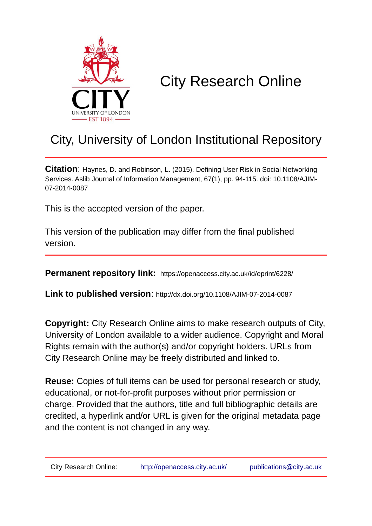

## City Research Online

### City, University of London Institutional Repository

**Citation**: Haynes, D. and Robinson, L. (2015). Defining User Risk in Social Networking Services. Aslib Journal of Information Management, 67(1), pp. 94-115. doi: 10.1108/AJIM-07-2014-0087

This is the accepted version of the paper.

This version of the publication may differ from the final published version.

**Permanent repository link:** https://openaccess.city.ac.uk/id/eprint/6228/

**Link to published version**: http://dx.doi.org/10.1108/AJIM-07-2014-0087

**Copyright:** City Research Online aims to make research outputs of City, University of London available to a wider audience. Copyright and Moral Rights remain with the author(s) and/or copyright holders. URLs from City Research Online may be freely distributed and linked to.

**Reuse:** Copies of full items can be used for personal research or study, educational, or not-for-profit purposes without prior permission or charge. Provided that the authors, title and full bibliographic details are credited, a hyperlink and/or URL is given for the original metadata page and the content is not changed in any way.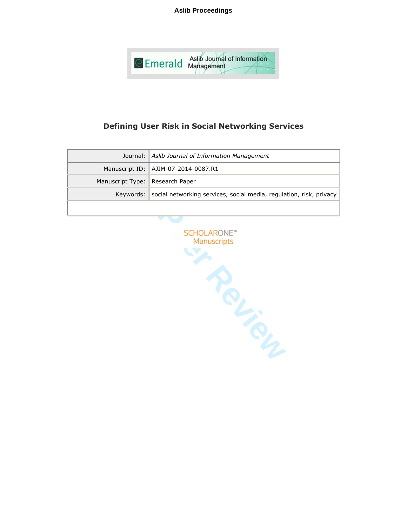**Aslib Proceedings**



#### **Defining User Risk in Social Networking Services**

|                                 | Journal:   Aslib Journal of Information Management                            |
|---------------------------------|-------------------------------------------------------------------------------|
|                                 | Manuscript ID:   AJIM-07-2014-0087.R1                                         |
| Manuscript Type: Research Paper |                                                                               |
|                                 | Keywords: social networking services, social media, regulation, risk, privacy |
|                                 |                                                                               |

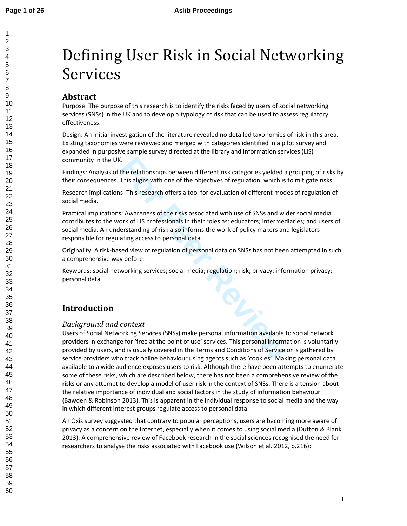# Defining User Risk in Social Networking Services

#### **Abstract**

Purpose: The purpose of this research is to identify the risks faced by users of social networking services (SNSs) in the UK and to develop a typology of risk that can be used to assess regulatory effectiveness.

Design: An initial investigation of the literature revealed no detailed taxonomies of risk in this area. Existing taxonomies were reviewed and merged with categories identified in a pilot survey and expanded in purposive sample survey directed at the library and information services (LIS) community in the UK.

Findings: Analysis of the relationships between different risk categories yielded a grouping of risks by their consequences. This aligns with one of the objectives of regulation, which is to mitigate risks.

Research implications: This research offers a tool for evaluation of different modes of regulation of social media.

Practical implications: Awareness of the risks associated with use of SNSs and wider social media contributes to the work of LIS professionals in their roles as: educators; intermediaries; and users of social media. An understanding of risk also informs the work of policy makers and legislators responsible for regulating access to personal data.

Originality: A risk-based view of regulation of personal data on SNSs has not been attempted in such a comprehensive way before.

Keywords: social networking services; social media; regulation; risk; privacy; information privacy; personal data

#### **Introduction**

#### *Background and context*

External inferent risk categories yielded at the relationships between different risk categories yielded at this aligns with one of the objectives of regulation, which is<br>s: This research offers a tool for evaluation of di Users of Social Networking Services (SNSs) make personal information available to social network providers in exchange for 'free at the point of use' services. This personal information is voluntarily provided by users, and is usually covered in the Terms and Conditions of Service or is gathered by service providers who track online behaviour using agents such as 'cookies'. Making personal data available to a wide audience exposes users to risk. Although there have been attempts to enumerate some of these risks, which are described below, there has not been a comprehensive review of the risks or any attempt to develop a model of user risk in the context of SNSs. There is a tension about the relative importance of individual and social factors in the study of information behaviour (Bawden & Robinson 2013). This is apparent in the individual response to social media and the way in which different interest groups regulate access to personal data.

An Oxis survey suggested that contrary to popular perceptions, users are becoming more aware of privacy as a concern on the Internet, especially when it comes to using social media (Dutton & Blank 2013). A comprehensive review of Facebook research in the social sciences recognised the need for researchers to analyse the risks associated with Facebook use (Wilson et al. 2012, p.216):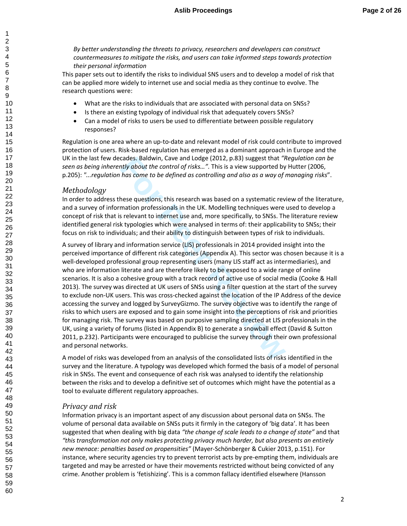*By better understanding the threats to privacy, researchers and developers can construct countermeasures to mitigate the risks, and users can take informed steps towards protection their personal information* 

This paper sets out to identify the risks to individual SNS users and to develop a model of risk that can be applied more widely to internet use and social media as they continue to evolve. The research questions were:

- What are the risks to individuals that are associated with personal data on SNSs?
- Is there an existing typology of individual risk that adequately covers SNSs?
- Can a model of risks to users be used to differentiate between possible regulatory responses?

Regulation is one area where an up-to-date and relevant model of risk could contribute to improved protection of users. Risk-based regulation has emerged as a dominant approach in Europe and the UK in the last few decades. Baldwin, Cave and Lodge (2012, p.83) suggest that *"Regulation can be seen as being inherently about the control of risks…"*. This is a view supported by Hutter (2006, p.205): *"...regulation has come to be defined as controlling and also as a way of managing risks*".

#### *Methodology*

In order to address these questions, this research was based on a systematic review of the literature, and a survey of information professionals in the UK. Modelling techniques were used to develop a concept of risk that is relevant to internet use and, more specifically, to SNSs. The literature review identified general risk typologies which were analysed in terms of: their applicability to SNSs; their focus on risk to individuals; and their ability to distinguish between types of risk to individuals.

cades. Baldwin, Cave and Lodge (2012, p.83) suggest that "*f*"<br>*fuly about the control of risks...*". This is a view supported by<br>*has come to be defined as controlling and also as a way of t*<br>assement to internet use and, A survey of library and information service (LIS) professionals in 2014 provided insight into the perceived importance of different risk categories (Appendix A). This sector was chosen because it is a well-developed professional group representing users (many LIS staff act as intermediaries), and who are information literate and are therefore likely to be exposed to a wide range of online scenarios. It is also a cohesive group with a track record of active use of social media (Cooke & Hall 2013). The survey was directed at UK users of SNSs using a filter question at the start of the survey to exclude non-UK users. This was cross-checked against the location of the IP Address of the device accessing the survey and logged by SurveyGizmo. The survey objective was to identify the range of risks to which users are exposed and to gain some insight into the perceptions of risk and priorities for managing risk. The survey was based on purposive sampling directed at LIS professionals in the UK, using a variety of forums (listed in Appendix B) to generate a snowball effect (David & Sutton 2011, p.232). Participants were encouraged to publicise the survey through their own professional and personal networks.

A model of risks was developed from an analysis of the consolidated lists of risks identified in the survey and the literature. A typology was developed which formed the basis of a model of personal risk in SNSs. The event and consequence of each risk was analysed to identify the relationship between the risks and to develop a definitive set of outcomes which might have the potential as a tool to evaluate different regulatory approaches.

#### *Privacy and risk*

Information privacy is an important aspect of any discussion about personal data on SNSs. The volume of personal data available on SNSs puts it firmly in the category of 'big data'. It has been suggested that when dealing with big data *"the change of scale leads to a change of state"* and that *"this transformation not only makes protecting privacy much harder, but also presents an entirely new menace: penalties based on propensities"* (Mayer-Schönberger & Cukier 2013, p.151). For instance, where security agencies try to prevent terrorist acts by pre-empting them, individuals are targeted and may be arrested or have their movements restricted without being convicted of any crime. Another problem is 'fetishizing'. This is a common fallacy identified elsewhere (Hansson

 $\mathbf{1}$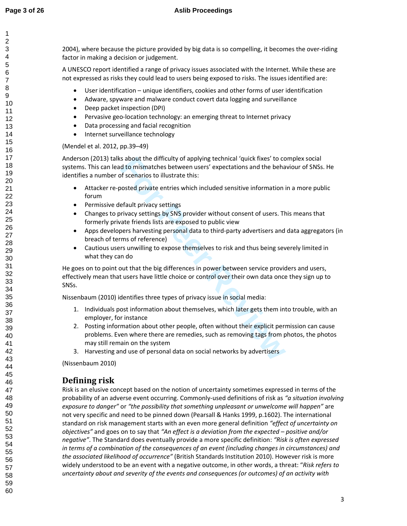$\mathbf{1}$ 

2004), where because the picture provided by big data is so compelling, it becomes the over-riding factor in making a decision or judgement.

A UNESCO report identified a range of privacy issues associated with the Internet. While these are not expressed as risks they could lead to users being exposed to risks. The issues identified are:

- User identification unique identifiers, cookies and other forms of user identification
- Adware, spyware and malware conduct covert data logging and surveillance
- Deep packet inspection (DPI)
- Pervasive geo-location technology: an emerging threat to Internet privacy
- Data processing and facial recognition
- Internet surveillance technology

(Mendel et al. 2012, pp.39–49)

Anderson (2013) talks about the difficulty of applying technical 'quick fixes' to complex social systems. This can lead to mismatches between users' expectations and the behaviour of SNSs. He identifies a number of scenarios to illustrate this:

- Attacker re-posted private entries which included sensitive information in a more public forum
- Permissive default privacy settings
- Changes to privacy settings by SNS provider without consent of users. This means that formerly private friends lists are exposed to public view
- Apps developers harvesting personal data to third-party advertisers and data aggregators (in breach of terms of reference)
- Cautious users unwilling to expose themselves to risk and thus being severely limited in what they can do

**Follow the difficulty of applying technical 'quick fixes' to commatches between users' expectations and the behalam of f scenarios to illustrate this:**<br> **For Perromations of illustrate this:**<br> **For Perromation included se** He goes on to point out that the big differences in power between service providers and users, effectively mean that users have little choice or control over their own data once they sign up to SNSs.

Nissenbaum (2010) identifies three types of privacy issue in social media:

- 1. Individuals post information about themselves, which later gets them into trouble, with an employer, for instance
- 2. Posting information about other people, often without their explicit permission can cause problems. Even where there are remedies, such as removing tags from photos, the photos may still remain on the system
- 3. Harvesting and use of personal data on social networks by advertisers

(Nissenbaum 2010)

#### **Defining risk**

Risk is an elusive concept based on the notion of uncertainty sometimes expressed in terms of the probability of an adverse event occurring. Commonly-used definitions of risk as *"a situation involving exposure to danger"* or *"the possibility that something unpleasant or unwelcome will happen"* are not very specific and need to be pinned down (Pearsall & Hanks 1999, p.1602). The international standard on risk management starts with an even more general definition *"effect of uncertainty on objectives"* and goes on to say that *"An effect is a deviation from the expected – positive and/or negative"*. The Standard does eventually provide a more specific definition: *"Risk is often expressed in terms of a combination of the consequences of an event (including changes in circumstances) and the associated likelihood of occurrence"* (British Standards Institution 2010). However risk is more widely understood to be an event with a negative outcome, in other words, a threat: "*Risk refers to uncertainty about and severity of the events and consequences (or outcomes) of an activity with*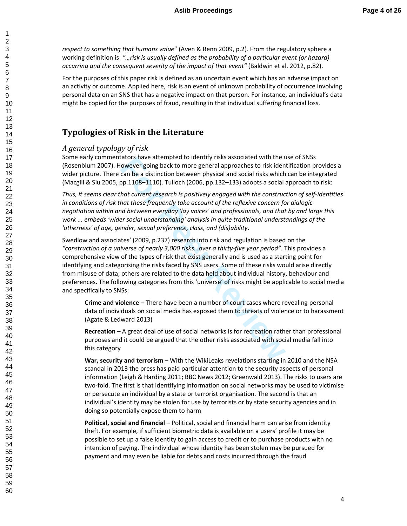*respect to something that humans value*" (Aven & Renn 2009, p.2). From the regulatory sphere a working definition is: *"…risk is usually defined as the probability of a particular event (or hazard) occurring and the consequent severity of the impact of that event"* (Baldwin et al. 2012, p.82).

For the purposes of this paper risk is defined as an uncertain event which has an adverse impact on an activity or outcome. Applied here, risk is an event of unknown probability of occurrence involving personal data on an SNS that has a negative impact on that person. For instance, an individual's data might be copied for the purposes of fraud, resulting in that individual suffering financial loss.

#### **Typologies of Risk in the Literature**

#### *A general typology of risk*

Some early commentators have attempted to identify risks associated with the use of SNSs (Rosenblum 2007). However going back to more general approaches to risk identification provides a wider picture. There can be a distinction between physical and social risks which can be integrated (Macgill & Siu 2005, pp.1108–1110). Tulloch (2006, pp.132–133) adopts a social approach to risk:

*Thus, it seems clear that current research is positively engaged with the construction of self-identities in conditions of risk that these frequently take account of the reflexive concern for dialogic negotiation within and between everyday 'lay voices' and professionals, and that by and large this work ... embeds 'wider social understanding' analysis in quite traditional understandings of the 'otherness' of age, gender, sexual preference, class, and (dis)ability*.

rators have attempted to identify risks associated with the under<br>owever going back to more general approaches to risk iden<br>can be a distinction between physical and social risks which<br>pp.1108–1110). Tulloch (2006, pp.132– Swedlow and associates' (2009, p.237) research into risk and regulation is based on the *"construction of a universe of nearly 3,000 risks…over a thirty-five year period"*. This provides a comprehensive view of the types of risk that exist generally and is used as a starting point for identifying and categorising the risks faced by SNS users. Some of these risks would arise directly from misuse of data; others are related to the data held about individual history, behaviour and preferences. The following categories from this 'universe' of risks might be applicable to social media and specifically to SNSs:

**Crime and violence** – There have been a number of court cases where revealing personal data of individuals on social media has exposed them to threats of violence or to harassment (Agate & Ledward 2013)

**Recreation** – A great deal of use of social networks is for recreation rather than professional purposes and it could be argued that the other risks associated with social media fall into this category

**War, security and terrorism** – With the WikiLeaks revelations starting in 2010 and the NSA scandal in 2013 the press has paid particular attention to the security aspects of personal information (Leigh & Harding 2011; BBC News 2012; Greenwald 2013). The risks to users are two-fold. The first is that identifying information on social networks may be used to victimise or persecute an individual by a state or terrorist organisation. The second is that an individual's identity may be stolen for use by terrorists or by state security agencies and in doing so potentially expose them to harm

**Political, social and financial** – Political, social and financial harm can arise from identity theft. For example, if sufficient biometric data is available on a users' profile it may be possible to set up a false identity to gain access to credit or to purchase products with no intention of paying. The individual whose identity has been stolen may be pursued for payment and may even be liable for debts and costs incurred through the fraud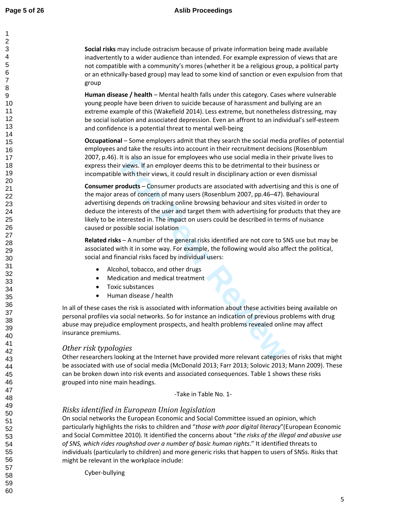#### **Page 5 of 26 Aslib Proceedings**

**Social risks** may include ostracism because of private information being made available inadvertently to a wider audience than intended. For example expression of views that are not compatible with a community's mores (whether it be a religious group, a political party or an ethnically-based group) may lead to some kind of sanction or even expulsion from that group

**Human disease / health** – Mental health falls under this category. Cases where vulnerable young people have been driven to suicide because of harassment and bullying are an extreme example of this (Wakefield 2014). Less extreme, but nonetheless distressing, may be social isolation and associated depression. Even an affront to an individual's self-esteem and confidence is a potential threat to mental well-being

**Occupational** – Some employers admit that they search the social media profiles of potential employees and take the results into account in their recruitment decisions (Rosenblum 2007, p.46). It is also an issue for employees who use social media in their private lives to express their views. If an employer deems this to be detrimental to their business or incompatible with their views, it could result in disciplinary action or even dismissal

It is also an issue for employees who use social media in the<br>views. If an employer deems this to be detrimental to their<br>with their views, it could result in disciplinary action or eve<br>**oducts** – Consumer products are ass **Consumer products** – Consumer products are associated with advertising and this is one of the major areas of concern of many users (Rosenblum 2007, pp.46–47). Behavioural advertising depends on tracking online browsing behaviour and sites visited in order to deduce the interests of the user and target them with advertising for products that they are likely to be interested in. The impact on users could be described in terms of nuisance caused or possible social isolation

**Related risks** – A number of the general risks identified are not core to SNS use but may be associated with it in some way. For example, the following would also affect the political, social and financial risks faced by individual users:

- Alcohol, tobacco, and other drugs
- Medication and medical treatment
- Toxic substances
- Human disease / health

In all of these cases the risk is associated with information about these activities being available on personal profiles via social networks. So for instance an indication of previous problems with drug abuse may prejudice employment prospects, and health problems revealed online may affect insurance premiums.

#### *Other risk typologies*

Other researchers looking at the Internet have provided more relevant categories of risks that might be associated with use of social media (McDonald 2013; Farr 2013; Solovic 2013; Mann 2009). These can be broken down into risk events and associated consequences. Table 1 shows these risks grouped into nine main headings.

-Take in Table No. 1-

#### *Risks identified in European Union legislation*

On social networks the European Economic and Social Committee issued an opinion, which particularly highlights the risks to children and "*those with poor digital literacy*"(European Economic and Social Committee 2010). It identified the concerns about "the risks of the illegal and abusive use *of SNS, which rides roughshod over a number of basic human rights*." It identified threats to individuals (particularly to children) and more generic risks that happen to users of SNSs. Risks that might be relevant in the workplace include:

Cyber-bullying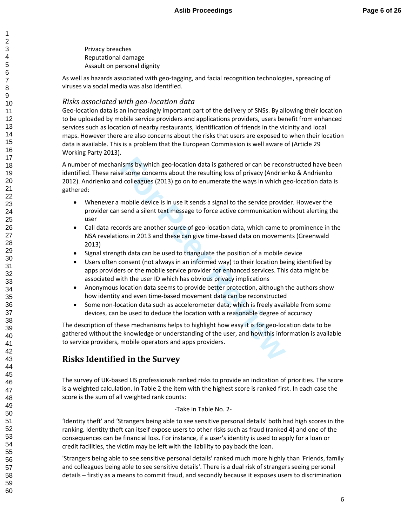Privacy breaches Reputational damage Assault on personal dignity

As well as hazards associated with geo-tagging, and facial recognition technologies, spreading of viruses via social media was also identified.

#### *Risks associated with geo-location data*

Geo-location data is an increasingly important part of the delivery of SNSs. By allowing their location to be uploaded by mobile service providers and applications providers, users benefit from enhanced services such as location of nearby restaurants, identification of friends in the vicinity and local maps. However there are also concerns about the risks that users are exposed to when their location data is available. This is a problem that the European Commission is well aware of (Article 29 Working Party 2013).

isms by which geo-location data is gathered or can be recore some concerns about the resulting loss of privacy (Andriend colleagues (2013) go on to enumerate the ways in which g<br>mobile device is in use it sends a signal to A number of mechanisms by which geo-location data is gathered or can be reconstructed have been identified. These raise some concerns about the resulting loss of privacy (Andrienko & Andrienko 2012). Andrienko and colleagues (2013) go on to enumerate the ways in which geo-location data is gathered:

- Whenever a mobile device is in use it sends a signal to the service provider. However the provider can send a silent text message to force active communication without alerting the user
- Call data records are another source of geo-location data, which came to prominence in the NSA revelations in 2013 and these can give time-based data on movements (Greenwald 2013)
- Signal strength data can be used to triangulate the position of a mobile device
- Users often consent (not always in an informed way) to their location being identified by apps providers or the mobile service provider for enhanced services. This data might be associated with the user ID which has obvious privacy implications
- Anonymous location data seems to provide better protection, although the authors show how identity and even time-based movement data can be reconstructed
- Some non-location data such as accelerometer data, which is freely available from some devices, can be used to deduce the location with a reasonable degree of accuracy

The description of these mechanisms helps to highlight how easy it is for geo-location data to be gathered without the knowledge or understanding of the user, and how this information is available to service providers, mobile operators and apps providers.

#### **Risks Identified in the Survey**

The survey of UK-based LIS professionals ranked risks to provide an indication of priorities. The score is a weighted calculation. In Table 2 the item with the highest score is ranked first. In each case the score is the sum of all weighted rank counts:

#### -Take in Table No. 2-

'Identity theft' and 'Strangers being able to see sensitive personal details' both had high scores in the ranking. Identity theft can itself expose users to other risks such as fraud (ranked 4) and one of the consequences can be financial loss. For instance, if a user's identity is used to apply for a loan or credit facilities, the victim may be left with the liability to pay back the loan.

'Strangers being able to see sensitive personal details' ranked much more highly than 'Friends, family and colleagues being able to see sensitive details'. There is a dual risk of strangers seeing personal details – firstly as a means to commit fraud, and secondly because it exposes users to discrimination

1  $\overline{2}$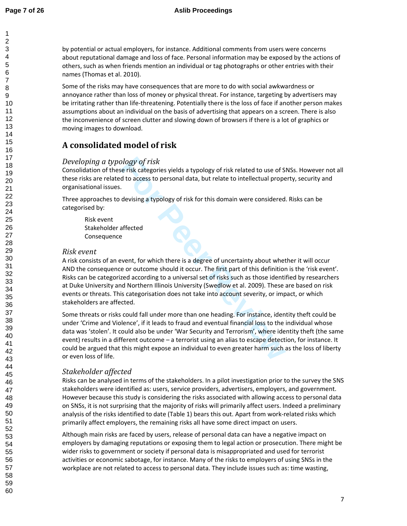$\mathbf{1}$ 

by potential or actual employers, for instance. Additional comments from users were concerns about reputational damage and loss of face. Personal information may be exposed by the actions of others, such as when friends mention an individual or tag photographs or other entries with their names (Thomas et al. 2010).

Some of the risks may have consequences that are more to do with social awkwardness or annoyance rather than loss of money or physical threat. For instance, targeting by advertisers may be irritating rather than life-threatening. Potentially there is the loss of face if another person makes assumptions about an individual on the basis of advertising that appears on a screen. There is also the inconvenience of screen clutter and slowing down of browsers if there is a lot of graphics or moving images to download.

#### **A consolidated model of risk**

#### *Developing a typology of risk*

Consolidation of these risk categories yields a typology of risk related to use of SNSs. However not all these risks are related to access to personal data, but relate to intellectual property, security and organisational issues.

Three approaches to devising a typology of risk for this domain were considered. Risks can be categorised by:

Risk event Stakeholder affected Consequence

#### *Risk event*

**For the Solution Solution** of risk related to use of SI at the serisk categories yields a typology of risk relate to intellectual prope<br> **For All of the Solution Solution** were considered.<br> **For All of the Solution Soluti** A risk consists of an event, for which there is a degree of uncertainty about whether it will occur AND the consequence or outcome should it occur. The first part of this definition is the 'risk event'. Risks can be categorized according to a universal set of risks such as those identified by researchers at Duke University and Northern Illinois University (Swedlow et al. 2009). These are based on risk events or threats. This categorisation does not take into account severity, or impact, or which stakeholders are affected.

Some threats or risks could fall under more than one heading. For instance, identity theft could be under 'Crime and Violence', if it leads to fraud and eventual financial loss to the individual whose data was 'stolen'. It could also be under 'War Security and Terrorism', where identity theft (the same event) results in a different outcome – a terrorist using an alias to escape detection, for instance. It could be argued that this might expose an individual to even greater harm such as the loss of liberty or even loss of life.

#### *Stakeholder affected*

Risks can be analysed in terms of the stakeholders. In a pilot investigation prior to the survey the SNS stakeholders were identified as: users, service providers, advertisers, employers, and government. However because this study is considering the risks associated with allowing access to personal data on SNSs, it is not surprising that the majority of risks will primarily affect users. Indeed a preliminary analysis of the risks identified to date (Table 1) bears this out. Apart from work-related risks which primarily affect employers, the remaining risks all have some direct impact on users.

Although main risks are faced by users, release of personal data can have a negative impact on employers by damaging reputations or exposing them to legal action or prosecution. There might be wider risks to government or society if personal data is misappropriated and used for terrorist activities or economic sabotage, for instance. Many of the risks to employers of using SNSs in the workplace are not related to access to personal data. They include issues such as: time wasting,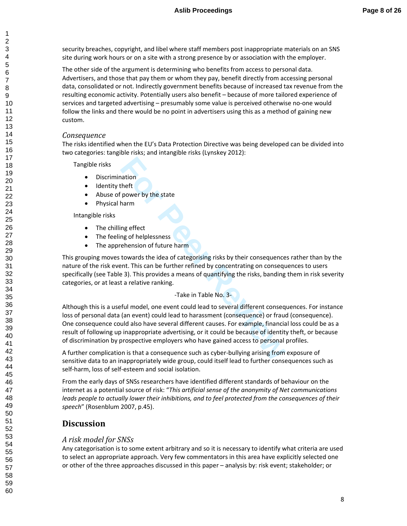security breaches, copyright, and libel where staff members post inappropriate materials on an SNS site during work hours or on a site with a strong presence by or association with the employer.

The other side of the argument is determining who benefits from access to personal data. Advertisers, and those that pay them or whom they pay, benefit directly from accessing personal data, consolidated or not. Indirectly government benefits because of increased tax revenue from the resulting economic activity. Potentially users also benefit – because of more tailored experience of services and targeted advertising – presumably some value is perceived otherwise no-one would follow the links and there would be no point in advertisers using this as a method of gaining new custom.

#### *Consequence*

The risks identified when the EU's Data Protection Directive was being developed can be divided into two categories: tangible risks; and intangible risks (Lynskey 2012):

Tangible risks

- **Discrimination**
- Identity theft
- Abuse of power by the state
- Physical harm

Intangible risks

- The chilling effect
- The feeling of helplessness
- The apprehension of future harm

This grouping moves towards the idea of categorising risks by their consequences rather than by the nature of the risk event. This can be further refined by concentrating on consequences to users specifically (see Table 3). This provides a means of quantifying the risks, banding them in risk severity categories, or at least a relative ranking.

#### -Take in Table No. 3-

**Formulation**<br> **Formulation**<br> **Formulation**<br> **Formulation**<br> **Formulation**<br> **Formulation**<br> **Formulation**<br> **Formulation**<br> **Formulation**<br> **Formulation**<br> **Formulation**<br> **Formulation**<br> **Formulation**<br> **Formulation**<br> **Formulation** Although this is a useful model, one event could lead to several different consequences. For instance loss of personal data (an event) could lead to harassment (consequence) or fraud (consequence). One consequence could also have several different causes. For example, financial loss could be as a result of following up inappropriate advertising, or it could be because of identity theft, or because of discrimination by prospective employers who have gained access to personal profiles.

A further complication is that a consequence such as cyber-bullying arising from exposure of sensitive data to an inappropriately wide group, could itself lead to further consequences such as self-harm, loss of self-esteem and social isolation.

From the early days of SNSs researchers have identified different standards of behaviour on the internet as a potential source of risk: "*This artificial sense of the anonymity of Net communications leads people to actually lower their inhibitions, and to feel protected from the consequences of their speech*" (Rosenblum 2007, p.45).

#### **Discussion**

#### *A risk model for SNSs*

Any categorisation is to some extent arbitrary and so it is necessary to identify what criteria are used to select an appropriate approach. Very few commentators in this area have explicitly selected one or other of the three approaches discussed in this paper – analysis by: risk event; stakeholder; or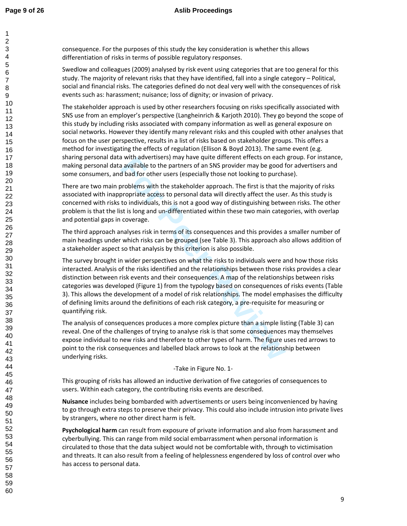123456789

consequence. For the purposes of this study the key consideration is whether this allows differentiation of risks in terms of possible regulatory responses.

Swedlow and colleagues (2009) analysed by risk event using categories that are too general for this study. The majority of relevant risks that they have identified, fall into a single category – Political, social and financial risks. The categories defined do not deal very well with the consequences of risk events such as: harassment; nuisance; loss of dignity; or invasion of privacy.

The stakeholder approach is used by other researchers focusing on risks specifically associated with SNS use from an employer's perspective (Langheinrich & Karjoth 2010). They go beyond the scope of this study by including risks associated with company information as well as general exposure on social networks. However they identify many relevant risks and this coupled with other analyses that focus on the user perspective, results in a list of risks based on stakeholder groups. This offers a method for investigating the effects of regulation (Ellison & Boyd 2013). The same event (e.g. sharing personal data with advertisers) may have quite different effects on each group. For instance, making personal data available to the partners of an SNS provider may be good for advertisers and some consumers, and bad for other users (especially those not looking to purchase).

There are two main problems with the stakeholder approach. The first is that the majority of risks associated with inappropriate access to personal data will directly affect the user. As this study is concerned with risks to individuals, this is not a good way of distinguishing between risks. The other problem is that the list is long and un-differentiated within these two main categories, with overlap and potential gaps in coverage.

The third approach analyses risk in terms of its consequences and this provides a smaller number of main headings under which risks can be grouped (see Table 3). This approach also allows addition of a stakeholder aspect so that analysis by this criterion is also possible.

**Four Solution** and the partners of a SNS provider may be good for a swallable to the partners of an SNS provider may be good for bad for other users (especially those not looking to purchar<br>oroblems with the stakeholder a The survey brought in wider perspectives on what the risks to individuals were and how those risks interacted. Analysis of the risks identified and the relationships between those risks provides a clear distinction between risk events and their consequences. A map of the relationships between risks categories was developed (Figure 1) from the typology based on consequences of risks events (Table 3). This allows the development of a model of risk relationships. The model emphasises the difficulty of defining limits around the definitions of each risk category, a pre-requisite for measuring or quantifying risk.

The analysis of consequences produces a more complex picture than a simple listing (Table 3) can reveal. One of the challenges of trying to analyse risk is that some consequences may themselves expose individual to new risks and therefore to other types of harm. The figure uses red arrows to point to the risk consequences and labelled black arrows to look at the relationship between underlying risks.

#### -Take in Figure No. 1-

This grouping of risks has allowed an inductive derivation of five categories of consequences to users. Within each category, the contributing risks events are described.

**Nuisance** includes being bombarded with advertisements or users being inconvenienced by having to go through extra steps to preserve their privacy. This could also include intrusion into private lives by strangers, where no other direct harm is felt.

**Psychological harm** can result from exposure of private information and also from harassment and cyberbullying. This can range from mild social embarrassment when personal information is circulated to those that the data subject would not be comfortable with, through to victimisation and threats. It can also result from a feeling of helplessness engendered by loss of control over who has access to personal data.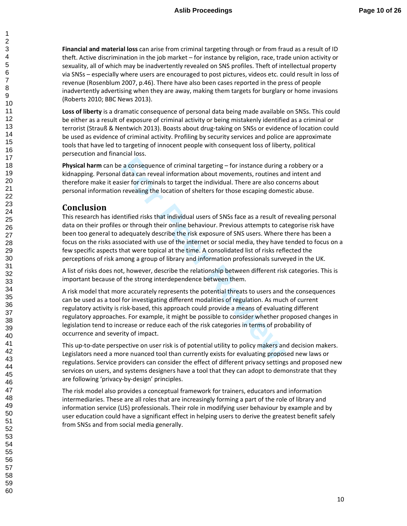**Financial and material loss** can arise from criminal targeting through or from fraud as a result of ID theft. Active discrimination in the job market – for instance by religion, race, trade union activity or sexuality, all of which may be inadvertently revealed on SNS profiles. Theft of intellectual property via SNSs – especially where users are encouraged to post pictures, videos etc. could result in loss of revenue (Rosenblum 2007, p.46). There have also been cases reported in the press of people inadvertently advertising when they are away, making them targets for burglary or home invasions (Roberts 2010; BBC News 2013).

**Loss of liberty** is a dramatic consequence of personal data being made available on SNSs. This could be either as a result of exposure of criminal activity or being mistakenly identified as a criminal or terrorist (Strauß & Nentwich 2013). Boasts about drug-taking on SNSs or evidence of location could be used as evidence of criminal activity. Profiling by security services and police are approximate tools that have led to targeting of innocent people with consequent loss of liberty, political persecution and financial loss.

**Physical harm** can be a consequence of criminal targeting – for instance during a robbery or a kidnapping. Personal data can reveal information about movements, routines and intent and therefore make it easier for criminals to target the individual. There are also concerns about personal information revealing the location of shelters for those escaping domestic abuse.

#### **Conclusion**

**Example a** consequence of criminal targeting – for instance during a<br>data can reveal information about movements, routines an<br>sier for criminals to target the individual. There are also con<br>revealing the location of shelt This research has identified risks that individual users of SNSs face as a result of revealing personal data on their profiles or through their online behaviour. Previous attempts to categorise risk have been too general to adequately describe the risk exposure of SNS users. Where there has been a focus on the risks associated with use of the internet or social media, they have tended to focus on a few specific aspects that were topical at the time. A consolidated list of risks reflected the perceptions of risk among a group of library and information professionals surveyed in the UK.

A list of risks does not, however, describe the relationship between different risk categories. This is important because of the strong interdependence between them.

A risk model that more accurately represents the potential threats to users and the consequences can be used as a tool for investigating different modalities of regulation. As much of current regulatory activity is risk-based, this approach could provide a means of evaluating different regulatory approaches. For example, it might be possible to consider whether proposed changes in legislation tend to increase or reduce each of the risk categories in terms of probability of occurrence and severity of impact.

This up-to-date perspective on user risk is of potential utility to policy makers and decision makers. Legislators need a more nuanced tool than currently exists for evaluating proposed new laws or regulations. Service providers can consider the effect of different privacy settings and proposed new services on users, and systems designers have a tool that they can adopt to demonstrate that they are following 'privacy-by-design' principles.

The risk model also provides a conceptual framework for trainers, educators and information intermediaries. These are all roles that are increasingly forming a part of the role of library and information service (LIS) professionals. Their role in modifying user behaviour by example and by user education could have a significant effect in helping users to derive the greatest benefit safely from SNSs and from social media generally.

 $\mathbf{1}$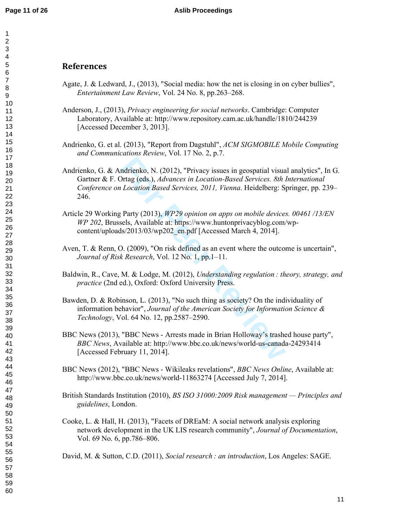$\mathbf{1}$  $\overline{2}$ 

#### **References**

- Agate, J. & Ledward, J., (2013), "Social media: how the net is closing in on cyber bullies", *Entertainment Law Review*, Vol. 24 No. 8, pp.263–268.
- Anderson, J., (2013), *Privacy engineering for social networks*. Cambridge: Computer Laboratory, Available at: http://www.repository.cam.ac.uk/handle/1810/244239 [Accessed December 3, 2013].
- Andrienko, G. et al. (2013), "Report from Dagstuhl", *ACM SIGMOBILE Mobile Computing and Communications Review*, Vol. 17 No. 2, p.7.
- ndrienko, N. (2012), "Privacy issues in geospatial visua<br>
Drtag (eds.), *Advances in Location-Based Services. 8th i*<br> *Location Based Services, 2011, Vienna.* Heidelberg: S<sub>J</sub><br>
Party (2013), *WP29 opinion on apps on mobile* Andrienko, G. & Andrienko, N. (2012), "Privacy issues in geospatial visual analytics", In G. Gartner & F. Ortag (eds.), *Advances in Location-Based Services. 8th International Conference on Location Based Services, 2011, Vienna*. Heidelberg: Springer, pp. 239– 246.
- Article 29 Working Party (2013), *WP29 opinion on apps on mobile devices. 00461 /13/EN WP 202*, Brussels, Available at: https://www.huntonprivacyblog.com/wpcontent/uploads/2013/03/wp202\_en.pdf [Accessed March 4, 2014].
- Aven, T. & Renn, O. (2009), "On risk defined as an event where the outcome is uncertain", *Journal of Risk Research*, Vol. 12 No. 1, pp.1–11.
- Baldwin, R., Cave, M. & Lodge, M. (2012), *Understanding regulation : theory, strategy, and practice* (2nd ed.), Oxford: Oxford University Press.
- Bawden, D. & Robinson, L. (2013), "No such thing as society? On the individuality of information behavior", *Journal of the American Society for Information Science & Technology*, Vol. 64 No. 12, pp.2587–2590.
- BBC News (2013), "BBC News Arrests made in Brian Holloway's trashed house party", *BBC News*, Available at: http://www.bbc.co.uk/news/world-us-canada-24293414 [Accessed February 11, 2014].
- BBC News (2012), "BBC News Wikileaks revelations", *BBC News Online*, Available at: http://www.bbc.co.uk/news/world-11863274 [Accessed July 7, 2014].
- British Standards Institution (2010), *BS ISO 31000:2009 Risk management Principles and guidelines*, London.
- Cooke, L. & Hall, H. (2013), "Facets of DREaM: A social network analysis exploring network development in the UK LIS research community", *Journal of Documentation*, Vol. 69 No. 6, pp.786–806.
- David, M. & Sutton, C.D. (2011), *Social research : an introduction*, Los Angeles: SAGE.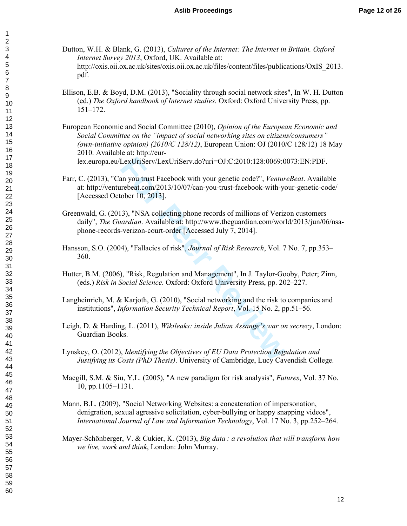- Dutton, W.H. & Blank, G. (2013), *Cultures of the Internet: The Internet in Britain. Oxford Internet Survey 2013*, Oxford, UK. Available at: http://oxis.oii.ox.ac.uk/sites/oxis.oii.ox.ac.uk/files/content/files/publications/OxIS\_2013. pdf.
- Ellison, E.B. & Boyd, D.M. (2013), "Sociality through social network sites", In W. H. Dutton (ed.) *The Oxford handbook of Internet studies*. Oxford: Oxford University Press, pp. 151–172.
- European Economic and Social Committee (2010), *Opinion of the European Economic and Social Committee on the "impact of social networking sites on citizens/consumers" (own-initiative opinion) (2010/C 128/12)*, European Union: OJ (2010/C 128/12) 18 May 2010. Available at: http://eurlex.europa.eu/LexUriServ/LexUriServ.do?uri=OJ:C:2010:128:0069:0073:EN:PDF.
- Farr, C. (2013), "Can you trust Facebook with your genetic code?", *VentureBeat*. Available at: http://venturebeat.com/2013/10/07/can-you-trust-facebook-with-your-genetic-code/ [Accessed October 10, 2013].
- LexUriServ/LexUriServ.do?uri=OJ:C:2010:128:0069:0<br>
an you trust Facebook with your genetic code?", *Ventur*<br>
rebeat.com/2013/10/07/can-you-trust-facebook-with-yo<br>
ober 10, 2013].<br>
3), "NSA collecting phone records of milli Greenwald, G. (2013), "NSA collecting phone records of millions of Verizon customers daily", *The Guardian*. Available at: http://www.theguardian.com/world/2013/jun/06/nsaphone-records-verizon-court-order [Accessed July 7, 2014].
- Hansson, S.O. (2004), "Fallacies of risk", *Journal of Risk Research*, Vol. 7 No. 7, pp.353– 360.
- Hutter, B.M. (2006), "Risk, Regulation and Management", In J. Taylor-Gooby, Peter; Zinn, (eds.) *Risk in Social Science*. Oxford: Oxford University Press, pp. 202–227.
- Langheinrich, M. & Karjoth, G. (2010), "Social networking and the risk to companies and institutions", *Information Security Technical Report*, Vol. 15 No. 2, pp.51–56.
- Leigh, D. & Harding, L. (2011), *Wikileaks: inside Julian Assange's war on secrecy*, London: Guardian Books.
- Lynskey, O. (2012), *Identifying the Objectives of EU Data Protection Regulation and Justifying its Costs (PhD Thesis)*. University of Cambridge, Lucy Cavendish College.
- Macgill, S.M. & Siu, Y.L. (2005), "A new paradigm for risk analysis", *Futures*, Vol. 37 No. 10, pp.1105–1131.
- Mann, B.L. (2009), "Social Networking Websites: a concatenation of impersonation, denigration, sexual agressive solicitation, cyber-bullying or happy snapping videos", *International Journal of Law and Information Technology*, Vol. 17 No. 3, pp.252–264.
- Mayer-Schönberger, V. & Cukier, K. (2013), *Big data : a revolution that will transform how we live, work and think*, London: John Murray.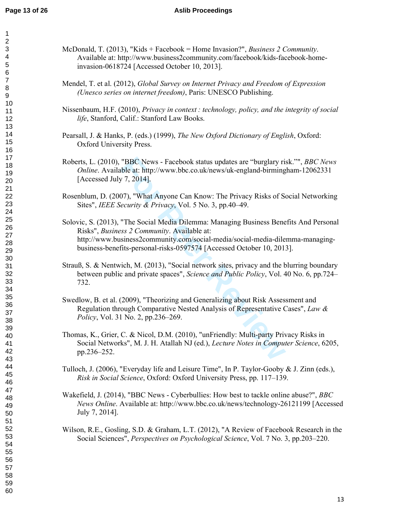$\mathbf{1}$ 

McDonald, T. (2013), "Kids + Facebook = Home Invasion?", *Business 2 Community*. Available at: http://www.business2community.com/facebook/kids-facebook-homeinvasion-0618724 [Accessed October 10, 2013].

- Nissenbaum, H.F. (2010), *Privacy in context : technology, policy, and the integrity of social life*, Stanford, Calif.: Stanford Law Books.
- Pearsall, J. & Hanks, P. (eds.) (1999), *The New Oxford Dictionary of English*, Oxford: Oxford University Press.
- Roberts, L. (2010), "BBC News Facebook status updates are "burglary risk."", *BBC News Online*. Available at: http://www.bbc.co.uk/news/uk-england-birmingham-12062331 [Accessed July 7, 2014].
- Rosenblum, D. (2007), "What Anyone Can Know: The Privacy Risks of Social Networking Sites", *IEEE Security & Privacy*, Vol. 5 No. 3, pp.40–49.

"BBC News - Facebook status updates are "burglary rishle at: http://www.bbc.co.uk/news/uk-england-birming  $\gamma$  7, 2014].<br>
97, 2014].<br>
97, 2014].<br>
97, "What Anyone Can Know: The Privacy Risks of Security & Privacy, Vol. 5 N Solovic, S. (2013), "The Social Media Dilemma: Managing Business Benefits And Personal Risks", *Business 2 Community*. Available at: http://www.business2community.com/social-media/social-media-dilemma-managingbusiness-benefits-personal-risks-0597574 [Accessed October 10, 2013].

- Strauß, S. & Nentwich, M. (2013), "Social network sites, privacy and the blurring boundary between public and private spaces", *Science and Public Policy*, Vol. 40 No. 6, pp.724– 732.
- Swedlow, B. et al. (2009), "Theorizing and Generalizing about Risk Assessment and Regulation through Comparative Nested Analysis of Representative Cases", *Law & Policy*, Vol. 31 No. 2, pp.236–269.
- Thomas, K., Grier, C. & Nicol, D.M. (2010), "unFriendly: Multi-party Privacy Risks in Social Networks", M. J. H. Atallah NJ (ed.), *Lecture Notes in Computer Science*, 6205, pp.236–252.
- Tulloch, J. (2006), "Everyday life and Leisure Time", In P. Taylor-Gooby & J. Zinn (eds.), *Risk in Social Science*, Oxford: Oxford University Press, pp. 117–139.
- Wakefield, J. (2014), "BBC News Cyberbullies: How best to tackle online abuse?", *BBC News Online*. Available at: http://www.bbc.co.uk/news/technology-26121199 [Accessed July 7, 2014].
- Wilson, R.E., Gosling, S.D. & Graham, L.T. (2012), "A Review of Facebook Research in the Social Sciences", *Perspectives on Psychological Science*, Vol. 7 No. 3, pp.203–220.

Mendel, T. et al. (2012), *Global Survey on Internet Privacy and Freedom of Expression (Unesco series on internet freedom)*, Paris: UNESCO Publishing.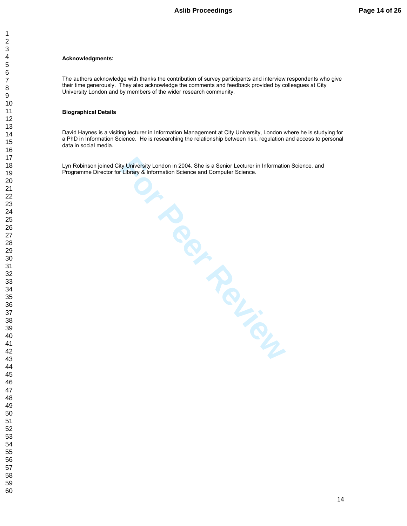#### **Acknowledgments:**

The authors acknowledge with thanks the contribution of survey participants and interview respondents who give their time generously. They also acknowledge the comments and feedback provided by colleagues at City University London and by members of the wider research community.

#### **Biographical Details**

David Haynes is a visiting lecturer in Information Management at City University, London where he is studying for a PhD in Information Science. He is researching the relationship between risk, regulation and access to personal data in social media.

Lyn Robinson joined City University London in 2004. She is a Senior Lecturer in Information Science, and Programme Director for Library & Information Science and Computer Science.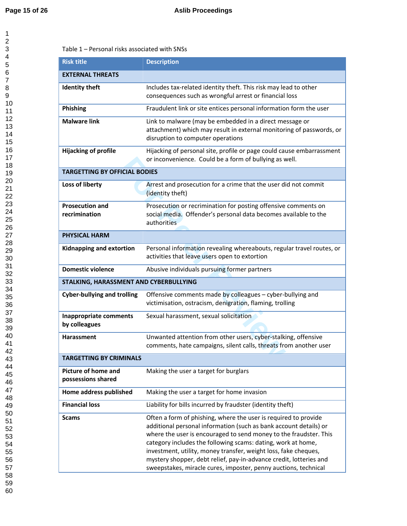$\mathbf{1}$ 

| <b>Risk title</b>                                | <b>Description</b>                                                                                                                                                                                                                                                                                                                                                                                                 |  |
|--------------------------------------------------|--------------------------------------------------------------------------------------------------------------------------------------------------------------------------------------------------------------------------------------------------------------------------------------------------------------------------------------------------------------------------------------------------------------------|--|
| <b>EXTERNAL THREATS</b>                          |                                                                                                                                                                                                                                                                                                                                                                                                                    |  |
| <b>Identity theft</b>                            | Includes tax-related identity theft. This risk may lead to other<br>consequences such as wrongful arrest or financial loss                                                                                                                                                                                                                                                                                         |  |
| Phishing                                         | Fraudulent link or site entices personal information form the user                                                                                                                                                                                                                                                                                                                                                 |  |
| <b>Malware link</b>                              | Link to malware (may be embedded in a direct message or<br>attachment) which may result in external monitoring of passwords, or<br>disruption to computer operations                                                                                                                                                                                                                                               |  |
| <b>Hijacking of profile</b>                      | Hijacking of personal site, profile or page could cause embarrassment<br>or inconvenience. Could be a form of bullying as well.                                                                                                                                                                                                                                                                                    |  |
| <b>TARGETTING BY OFFICIAL BODIES</b>             |                                                                                                                                                                                                                                                                                                                                                                                                                    |  |
| Loss of liberty                                  | Arrest and prosecution for a crime that the user did not commit<br>(identity theft)                                                                                                                                                                                                                                                                                                                                |  |
| <b>Prosecution and</b><br>recrimination          | Prosecution or recrimination for posting offensive comments on<br>social media. Offender's personal data becomes available to the<br>authorities                                                                                                                                                                                                                                                                   |  |
| <b>PHYSICAL HARM</b>                             |                                                                                                                                                                                                                                                                                                                                                                                                                    |  |
| Kidnapping and extortion                         | Personal information revealing whereabouts, regular travel routes, or<br>activities that leave users open to extortion                                                                                                                                                                                                                                                                                             |  |
| <b>Domestic violence</b>                         | Abusive individuals pursuing former partners                                                                                                                                                                                                                                                                                                                                                                       |  |
| STALKING, HARASSMENT AND CYBERBULLYING           |                                                                                                                                                                                                                                                                                                                                                                                                                    |  |
| <b>Cyber-bullying and trolling</b>               | Offensive comments made by colleagues - cyber-bullying and<br>victimisation, ostracism, denigration, flaming, trolling                                                                                                                                                                                                                                                                                             |  |
| <b>Inappropriate comments</b><br>by colleagues   | Sexual harassment, sexual solicitation                                                                                                                                                                                                                                                                                                                                                                             |  |
| <b>Harassment</b>                                | Unwanted attention from other users, cyber-stalking, offensive<br>comments, hate campaigns, silent calls, threats from another user                                                                                                                                                                                                                                                                                |  |
| <b>TARGETTING BY CRIMINALS</b>                   |                                                                                                                                                                                                                                                                                                                                                                                                                    |  |
| <b>Picture of home and</b><br>possessions shared | Making the user a target for burglars                                                                                                                                                                                                                                                                                                                                                                              |  |
| Home address published                           | Making the user a target for home invasion                                                                                                                                                                                                                                                                                                                                                                         |  |
| <b>Financial loss</b>                            | Liability for bills incurred by fraudster (identity theft)                                                                                                                                                                                                                                                                                                                                                         |  |
| <b>Scams</b>                                     | Often a form of phishing, where the user is required to provide<br>additional personal information (such as bank account details) or<br>where the user is encouraged to send money to the fraudster. This<br>category includes the following scams: dating, work at home,<br>investment, utility, money transfer, weight loss, fake cheques,<br>mystery shopper, debt relief, pay-in-advance credit, lotteries and |  |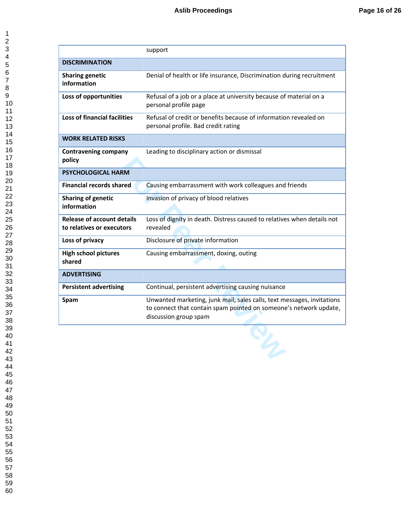|                                                                | support                                                                                                                                                              |
|----------------------------------------------------------------|----------------------------------------------------------------------------------------------------------------------------------------------------------------------|
| <b>DISCRIMINATION</b>                                          |                                                                                                                                                                      |
| <b>Sharing genetic</b><br>information                          | Denial of health or life insurance, Discrimination during recruitment                                                                                                |
| Loss of opportunities                                          | Refusal of a job or a place at university because of material on a<br>personal profile page                                                                          |
| <b>Loss of financial facilities</b>                            | Refusal of credit or benefits because of information revealed on<br>personal profile. Bad credit rating                                                              |
| <b>WORK RELATED RISKS</b>                                      |                                                                                                                                                                      |
| <b>Contravening company</b><br>policy                          | Leading to disciplinary action or dismissal                                                                                                                          |
| <b>PSYCHOLOGICAL HARM</b>                                      |                                                                                                                                                                      |
| <b>Financial records shared</b>                                | Causing embarrassment with work colleagues and friends                                                                                                               |
| <b>Sharing of genetic</b><br>information                       | Invasion of privacy of blood relatives                                                                                                                               |
| <b>Release of account details</b><br>to relatives or executors | Loss of dignity in death. Distress caused to relatives when details not<br>revealed                                                                                  |
| Loss of privacy                                                | Disclosure of private information                                                                                                                                    |
| <b>High school pictures</b><br>shared                          | Causing embarrassment, doxing, outing                                                                                                                                |
| <b>ADVERTISING</b>                                             |                                                                                                                                                                      |
| <b>Persistent advertising</b>                                  | Continual, persistent advertising causing nuisance                                                                                                                   |
| Spam                                                           | Unwanted marketing, junk mail, sales calls, text messages, invitations<br>to connect that contain spam pointed on someone's network update,<br>discussion group spam |
|                                                                |                                                                                                                                                                      |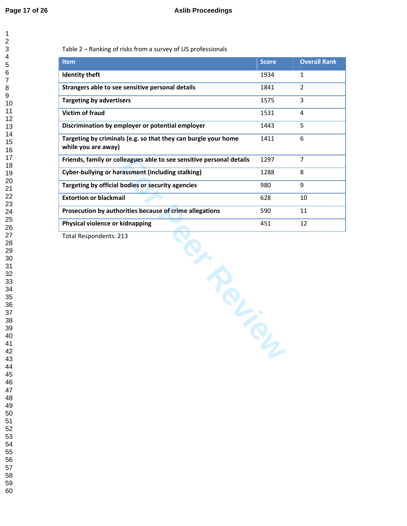$\mathbf{1}$  $\overline{2}$ 

Table 2 – Ranking of risks from a survey of LIS professionals

| <b>Item</b>                                                                           | <b>Score</b> | <b>Overall Rank</b> |
|---------------------------------------------------------------------------------------|--------------|---------------------|
| <b>Identity theft</b>                                                                 | 1934         | $\mathbf{1}$        |
| Strangers able to see sensitive personal details                                      | 1841         | $\overline{2}$      |
| <b>Targeting by advertisers</b>                                                       | 1575         | 3                   |
| <b>Victim of fraud</b>                                                                | 1531         | 4                   |
| Discrimination by employer or potential employer                                      | 1443         | 5                   |
| Targeting by criminals (e.g. so that they can burgle your home<br>while you are away) | 1411         | 6                   |
| Friends, family or colleagues able to see sensitive personal details                  | 1297         | $\overline{7}$      |
| <b>Cyber-bullying or harassment (including stalking)</b>                              | 1288         | 8                   |
| Targeting by official bodies or security agencies                                     | 980          | 9                   |
| <b>Extortion or blackmail</b>                                                         | 628          | 10                  |
| Prosecution by authorities because of crime allegations                               | 590          | 11                  |
| Physical violence or kidnapping                                                       | 451          | 12                  |
| <b>Total Respondents: 213</b><br>Religion                                             |              |                     |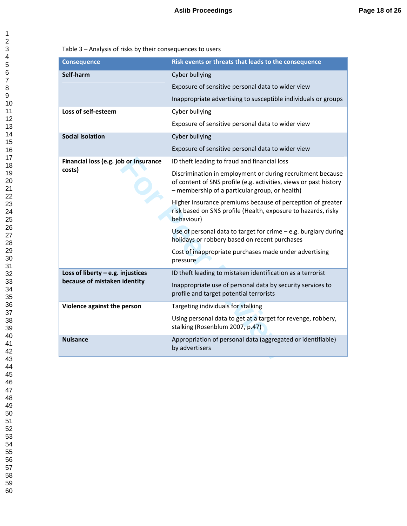Table 3 – Analysis of risks by their consequences to users

| <b>Consequence</b>                    | Risk events or threats that leads to the consequence                                                                                                                              |
|---------------------------------------|-----------------------------------------------------------------------------------------------------------------------------------------------------------------------------------|
| Self-harm                             | Cyber bullying                                                                                                                                                                    |
|                                       | Exposure of sensitive personal data to wider view                                                                                                                                 |
|                                       | Inappropriate advertising to susceptible individuals or groups                                                                                                                    |
| Loss of self-esteem                   | Cyber bullying                                                                                                                                                                    |
|                                       | Exposure of sensitive personal data to wider view                                                                                                                                 |
| <b>Social isolation</b>               | Cyber bullying                                                                                                                                                                    |
|                                       | Exposure of sensitive personal data to wider view                                                                                                                                 |
| Financial loss (e.g. job or insurance | ID theft leading to fraud and financial loss                                                                                                                                      |
| costs)                                | Discrimination in employment or during recruitment because<br>of content of SNS profile (e.g. activities, views or past history<br>- membership of a particular group, or health) |
|                                       | Higher insurance premiums because of perception of greater<br>risk based on SNS profile (Health, exposure to hazards, risky<br>behaviour)                                         |
|                                       | Use of personal data to target for crime $-$ e.g. burglary during<br>holidays or robbery based on recent purchases                                                                |
|                                       | Cost of inappropriate purchases made under advertising<br>pressure                                                                                                                |
| Loss of liberty $-e.g.$ injustices    | ID theft leading to mistaken identification as a terrorist                                                                                                                        |
| because of mistaken identity          | Inappropriate use of personal data by security services to<br>profile and target potential terrorists                                                                             |
| Violence against the person           | Targeting individuals for stalking                                                                                                                                                |
|                                       | Using personal data to get at a target for revenge, robbery,<br>stalking (Rosenblum 2007, p.47)                                                                                   |
| <b>Nuisance</b>                       | Appropriation of personal data (aggregated or identifiable)<br>by advertisers                                                                                                     |
|                                       |                                                                                                                                                                                   |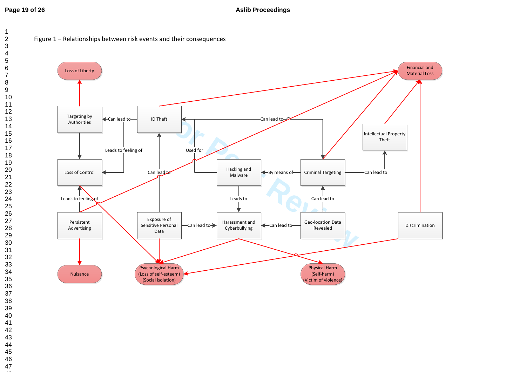

 $\overline{\phantom{a}}$ 

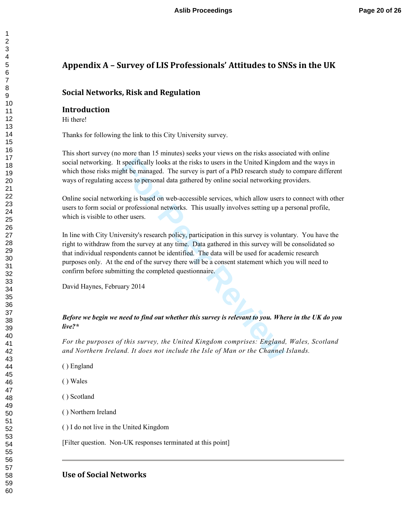#### **Appendix A – Survey of LIS Professionals' Attitudes to SNSs in the UK**

#### **Social Networks, Risk and Regulation**

#### **Introduction**

Hi there!

Thanks for following the link to this City University survey.

This short survey (no more than 15 minutes) seeks your views on the risks associated with online social networking. It specifically looks at the risks to users in the United Kingdom and the ways in which those risks might be managed. The survey is part of a PhD research study to compare different ways of regulating access to personal data gathered by online social networking providers.

Online social networking is based on web-accessible services, which allow users to connect with other users to form social or professional networks. This usually involves setting up a personal profile, which is visible to other users.

specifically looks at the risks to users in the United Kingdon<br>ght be managed. The survey is part of a PhD research study<br>ccess to personal data gathered by online social networking p<br>king is based on web-accessible servic In line with City University's research policy, participation in this survey is voluntary. You have the right to withdraw from the survey at any time. Data gathered in this survey will be consolidated so that individual respondents cannot be identified. The data will be used for academic research purposes only. At the end of the survey there will be a consent statement which you will need to confirm before submitting the completed questionnaire.

David Haynes, February 2014

#### *Before we begin we need to find out whether this survey is relevant to you. Where in the UK do you live?\**

*For the purposes of this survey, the United Kingdom comprises: England, Wales, Scotland and Northern Ireland. It does not include the Isle of Man or the Channel Islands.*

( ) England

( ) Wales

( ) Scotland

( ) Northern Ireland

( ) I do not live in the United Kingdom

[Filter question. Non-UK responses terminated at this point]

#### **Use of Social Networks**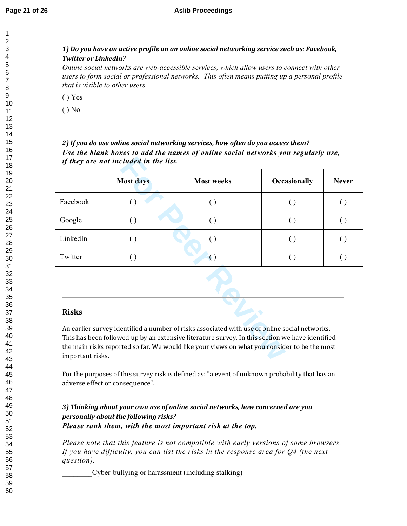#### $\mathbf{1}$   $\overline{2}$  $\overline{7}$

#### *1) Do you have an active profile on an online social networking service such as: Facebook, Twitter or LinkedIn?*

*Online social networks are web-accessible services, which allow users to connect with other users to form social or professional networks. This often means putting up a personal profile that is visible to other users.*

( ) Yes

( ) No

#### *2) If you do use online social networking services, how often do you access them? Use the blank boxes to add the names of online social networks you regularly use, if they are not included in the list.*

| if they are not included in the list. |                    |                                                                                                                                                                                                                                                                                                  |                    |                  |
|---------------------------------------|--------------------|--------------------------------------------------------------------------------------------------------------------------------------------------------------------------------------------------------------------------------------------------------------------------------------------------|--------------------|------------------|
|                                       | <b>Most days</b>   | <b>Most weeks</b>                                                                                                                                                                                                                                                                                | Occasionally       | <b>Never</b>     |
| Facebook                              |                    | $\left(\right)$                                                                                                                                                                                                                                                                                  | $\left( \right)$   | $\left( \right)$ |
| $Google+$                             | $\left( \ \right)$ | $\left( \right)$                                                                                                                                                                                                                                                                                 | $\left( \right)$   | $\left( \right)$ |
| LinkedIn                              | $\left( \ \right)$ | $\left( \ \right)$                                                                                                                                                                                                                                                                               | $\left( \ \right)$ | $\left( \right)$ |
| Twitter                               | $\left( \ \right)$ | $\left( \right)$                                                                                                                                                                                                                                                                                 | $\left( \right)$   | $\left(\right)$  |
| <b>Risks</b>                          |                    |                                                                                                                                                                                                                                                                                                  |                    |                  |
| important risks.                      |                    | An earlier survey identified a number of risks associated with use of online social networks.<br>This has been followed up by an extensive literature survey. In this section we have identified<br>the main risks reported so far. We would like your views on what you consider to be the most |                    |                  |

#### **Risks**

For the purposes of this survey risk is defined as: "a event of unknown probability that has an adverse effect or consequence".

*3) Thinking about your own use of online social networks, how concerned are you personally about the following risks? Please rank them, with the most important risk at the top.*

*Please note that this feature is not compatible with early versions of some browsers. If you have difficulty, you can list the risks in the response area for Q4 (the next question).*

\_\_\_\_\_\_\_\_Cyber-bullying or harassment (including stalking)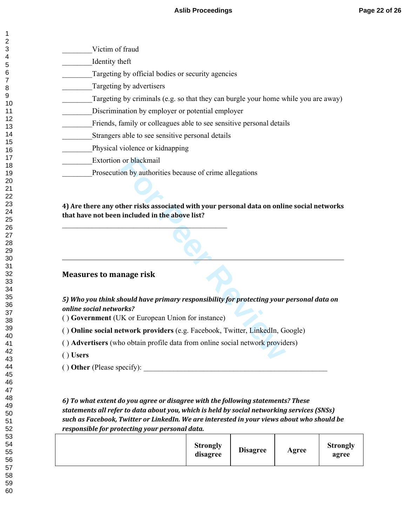| 1                                |  |  |
|----------------------------------|--|--|
| $\overline{c}$                   |  |  |
|                                  |  |  |
| $\frac{3}{4}$                    |  |  |
| 5                                |  |  |
| 6                                |  |  |
| 7                                |  |  |
| 8                                |  |  |
| 9                                |  |  |
| 10                               |  |  |
| 11                               |  |  |
| 12                               |  |  |
| 13                               |  |  |
| 14<br>$\overline{\phantom{a}}$   |  |  |
|                                  |  |  |
| 16<br>17                         |  |  |
|                                  |  |  |
| 18<br>19                         |  |  |
|                                  |  |  |
| 20<br>21<br>22<br>23             |  |  |
|                                  |  |  |
|                                  |  |  |
| $\frac{24}{1}$                   |  |  |
| 25                               |  |  |
|                                  |  |  |
| 26<br>27                         |  |  |
| 28                               |  |  |
| 29                               |  |  |
|                                  |  |  |
| 30<br>31<br>32<br>33<br>33<br>34 |  |  |
|                                  |  |  |
|                                  |  |  |
|                                  |  |  |
| 35                               |  |  |
| 36<br>37                         |  |  |
|                                  |  |  |
| 38                               |  |  |
| 39                               |  |  |
| 40                               |  |  |
| 41<br>42                         |  |  |
| 43                               |  |  |
| 44                               |  |  |
| 45                               |  |  |
| 46                               |  |  |
| 47                               |  |  |
| 48                               |  |  |
| 49                               |  |  |
| 50                               |  |  |
| 51                               |  |  |
| 52                               |  |  |
| 53                               |  |  |
| 54                               |  |  |

| Victim of fraud                                                                    |
|------------------------------------------------------------------------------------|
| Identity theft                                                                     |
| Targeting by official bodies or security agencies                                  |
| Targeting by advertisers                                                           |
| Targeting by criminals (e.g. so that they can burgle your home while you are away) |
| Discrimination by employer or potential employer                                   |
| Friends, family or colleagues able to see sensitive personal details               |
| Strangers able to see sensitive personal details                                   |
| Physical violence or kidnapping                                                    |
| Extortion or blackmail                                                             |
| Prosecution by authorities because of crime allegations                            |

#### **4) Are there any other risks associated with your personal data on online social networks that have not been included in the above list?**

#### **Measures to manage risk**

# or blackmail<br>
on by authorities because of crime allegations<br>
ther risks associated with your personal data on online<br>
included in the above list?<br> **For Peer Reviewald Acceptual Constant Constant Constant Constant Constant** *5) Who you think should have primary responsibility for protecting your personal data on online social networks?*

( ) **Government** (UK or European Union for instance)

 $\mathcal{L}=\mathcal{L}^{\text{max}}$ 

( ) **Online social network providers** (e.g. Facebook, Twitter, LinkedIn, Google)

( ) **Advertisers** (who obtain profile data from online social network providers)

( ) **Users**

() **Other** (Please specify):

*6) To what extent do you agree or disagree with the following statements? These statements all refer to data about you, which is held by social networking services (SNSs) such as Facebook, Twitter or LinkedIn. We are interested in your views about who should be responsible for protecting your personal data.* 

| <b>Strongly</b><br><b>Strongly</b><br><b>Disagree</b><br>Agree<br>disagree<br>agree |  |
|-------------------------------------------------------------------------------------|--|
|-------------------------------------------------------------------------------------|--|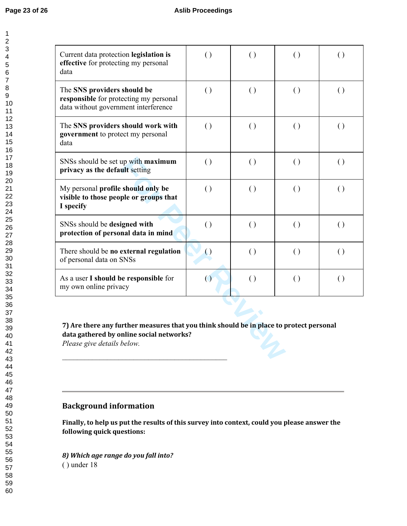| Current data protection legislation is<br>effective for protecting my personal<br>data                                                                            | $\left( \ \right)$ | $\left( \right)$   | $\left( \right)$   | $\left( \right)$   |
|-------------------------------------------------------------------------------------------------------------------------------------------------------------------|--------------------|--------------------|--------------------|--------------------|
| The SNS providers should be<br>responsible for protecting my personal<br>data without government interference                                                     | $\left( \ \right)$ | $\left( \ \right)$ | $\left( \right)$   | $\left( \ \right)$ |
| The SNS providers should work with<br>government to protect my personal<br>data                                                                                   | $\left( \right)$   | $\left( \right)$   | $\left( \right)$   | $\left( \right)$   |
| SNSs should be set up with maximum<br>privacy as the default setting                                                                                              | $\left( \right)$   | $\left( \right)$   | $\left( \right)$   | $\left( \right)$   |
| My personal profile should only be<br>visible to those people or groups that<br>I specify                                                                         | $\left( \right)$   | $\left( \right)$   | $\left( \right)$   | $\left( \ \right)$ |
| SNSs should be designed with<br>protection of personal data in mind                                                                                               | $\left( \right)$   | $\left( \right)$   | $\left( \ \right)$ | $\left( \right)$   |
| There should be no external regulation<br>of personal data on SNSs                                                                                                | $\bigcirc$         | $\left( \right)$   | $\left( \right)$   | $\left( \ \right)$ |
| As a user I should be responsible for<br>my own online privacy                                                                                                    | $\bigcirc$         | $\left( \right)$   | $\left( \right)$   | $\left( \right)$   |
| 7) Are there any further measures that you think should be in place to protect personal<br>data gathered by online social networks?<br>Please give details below. |                    |                    |                    |                    |

# **7)** Are there any further measures that you think should be in place to protect personal data gathered by online social networks?<br>*Please give details below.* **data gathered by online social networks?**

#### **Background information**

**Finally, to help us put the results of this survey into context, could you please answer the following quick questions:** 

*8) Which age range do you fall into?*  ( ) under 18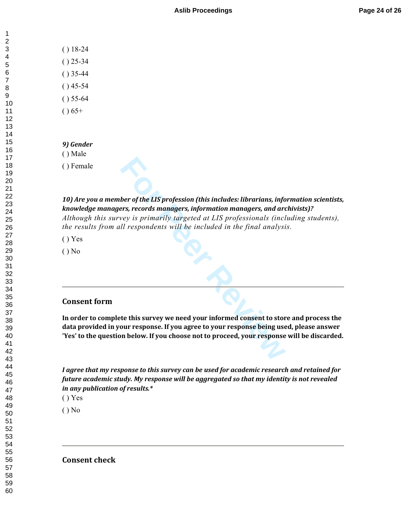|  | $() 18-24$    |
|--|---------------|
|  | $( ) 25 - 34$ |
|  | $() 35-44$    |
|  | $( ) 45 - 54$ |
|  | $()$ 55-64    |

 $( ) 65+$ 

#### *9) Gender*

- ( ) Male
- ( ) Female

# **Formal Second Second Second Second Second Second Second Second Second Second Second Second Second Second Second Second Second Second Second Second Second Section Section 2013 (Section 2013)<br>
<b>For Person Second Second Seco** *10) Are you a member of the LIS profession (this includes: librarians, information scientists, knowledge managers, records managers, information managers, and archivists)? Although this survey is primarily targeted at LIS professionals (including students), the results from all respondents will be included in the final analysis.*

( ) Yes

( ) No

#### **Consent form**

**In order to complete this survey we need your informed consent to store and process the data provided in your response. If you agree to your response being used, please answer 'Yes' to the question below. If you choose not to proceed, your response will be discarded.** 

*I agree that my response to this survey can be used for academic research and retained for future academic study. My response will be aggregated so that my identity is not revealed in any publication of results.\** 

( ) Yes

( ) No

#### **Consent check**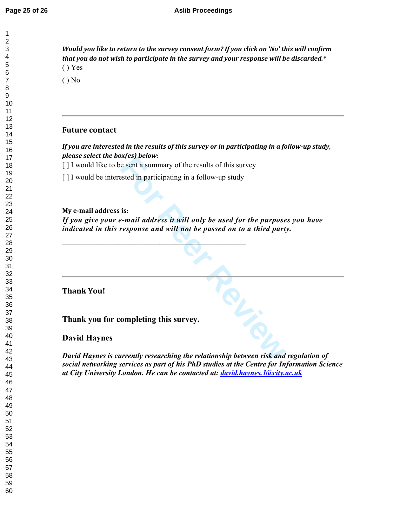$\mathbf{1}$ 

*Would you like to return to the survey consent form? If you click on 'No' this will confirm that you do not wish to participate in the survey and your response will be discarded.\**  ( ) Yes

( ) No

#### **Future contact**

*If you are interested in the results of this survey or in participating in a follow-up study, please select the box(es) below:* 

[ ] I would like to be sent a summary of the results of this survey

[ ] I would be interested in participating in a follow-up study

 $\mathcal{L}_\text{max}$  and  $\mathcal{L}_\text{max}$  and  $\mathcal{L}_\text{max}$ 

**My e-mail address is:** 

Exactly below.<br>
For a summary of the results of this survey<br>
sted in participating in a follow-up study<br>
is:<br>
For Peer Review and will not be passed on to a third part<br>
response and will not be passed on to a third part<br>
p *If you give your e-mail address it will only be used for the purposes you have indicated in this response and will not be passed on to a third party.*

**Thank You!** 

**Thank you for completing this survey.** 

**David Haynes** 

*David Haynes is currently researching the relationship between risk and regulation of social networking services as part of his PhD studies at the Centre for Information Science at City University London. He can be contacted at: david.haynes.1@city.ac.uk*